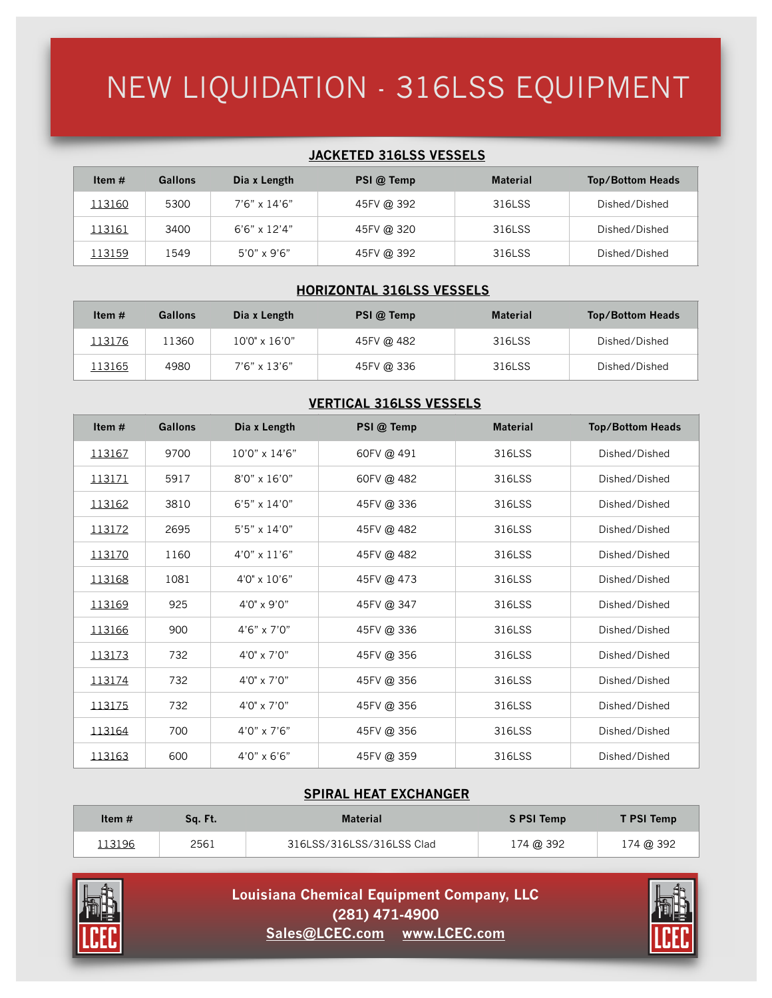### NEW LIQUIDATION - 316LSS EQUIPMENT

#### **JACKETED 316LSS VESSELS**

| Item $#$ | Gallons | Dia x Length          | PSI @ Temp | <b>Material</b> | <b>Top/Bottom Heads</b> |
|----------|---------|-----------------------|------------|-----------------|-------------------------|
| 113160   | 5300    | 7'6" x 14'6"          | 45FV @ 392 | 316LSS          | Dished/Dished           |
| 113161   | 3400    | $6'6'' \times 12'4''$ | 45FV @ 320 | 316LSS          | Dished/Dished           |
| 113159   | 1549    | $5'0'' \times 9'6''$  | 45FV @ 392 | 316LSS          | Dished/Dished           |

#### **HORIZONTAL 316LSS VESSELS**

| Item $#$ | <b>Gallons</b> | Dia x Length           | PSI @ Temp | <b>Material</b> | <b>Top/Bottom Heads</b> |
|----------|----------------|------------------------|------------|-----------------|-------------------------|
| 113176   | 11360          | $10'0'' \times 16'0''$ | 45FV @ 482 | 316LSS          | Dished/Dished           |
| 113165   | 4980           | $7'6'' \times 13'6''$  | 45FV @ 336 | 316LSS          | Dished/Dished           |

#### **VERTICAL 316LSS VESSELS**

| Item $#$ | <b>Gallons</b> | Dia x Length          | PSI @ Temp | <b>Material</b> | <b>Top/Bottom Heads</b> |
|----------|----------------|-----------------------|------------|-----------------|-------------------------|
| 113167   | 9700           | 10'0" x 14'6"         | 60FV @ 491 | 316LSS          | Dished/Dished           |
| 113171   | 5917           | $8'0'' \times 16'0''$ | 60FV @ 482 | 316LSS          | Dished/Dished           |
| 113162   | 3810           | $6'5'' \times 14'0''$ | 45FV @ 336 | 316LSS          | Dished/Dished           |
| 113172   | 2695           | 5'5" x 14'0"          | 45FV @ 482 | 316LSS          | Dished/Dished           |
| 113170   | 1160           | 4'0" x 11'6"          | 45FV @ 482 | 316LSS          | Dished/Dished           |
| 113168   | 1081           | 4'0" x 10'6"          | 45FV @ 473 | 316LSS          | Dished/Dished           |
| 113169   | 925            | 4'0" x 9'0"           | 45FV @ 347 | 316LSS          | Dished/Dished           |
| 113166   | 900            | $4'6'' \times 7'0''$  | 45FV @ 336 | 316LSS          | Dished/Dished           |
| 113173   | 732            | 4'0" x 7'0"           | 45FV @ 356 | 316LSS          | Dished/Dished           |
| 113174   | 732            | $4'0'' \times 7'0''$  | 45FV @ 356 | 316LSS          | Dished/Dished           |
| 113175   | 732            | 4'0" x 7'0"           | 45FV @ 356 | 316LSS          | Dished/Dished           |
| 113164   | 700            | 4'0" x 7'6"           | 45FV @ 356 | 316LSS          | Dished/Dished           |
| 113163   | 600            | $4'0'' \times 6'6''$  | 45FV @ 359 | 316LSS          | Dished/Dished           |

### **SPIRAL HEAT EXCHANGER**

| Item $#$ | Sa. Ft. | <b>Material</b>           | S PSI Temp | <b>T PSI Temp</b> |
|----------|---------|---------------------------|------------|-------------------|
| 113196   | 2561    | 316LSS/316LSS/316LSS Clad | 174 @ 392  | 174 @ 392         |



 **(281) 471-4900 Louisiana Chemical Equipment Company, LLC [Sales@LCEC.com](mailto:sales@lcec.com?subject=) [www.LCEC.com](http://www.lcec.com)**

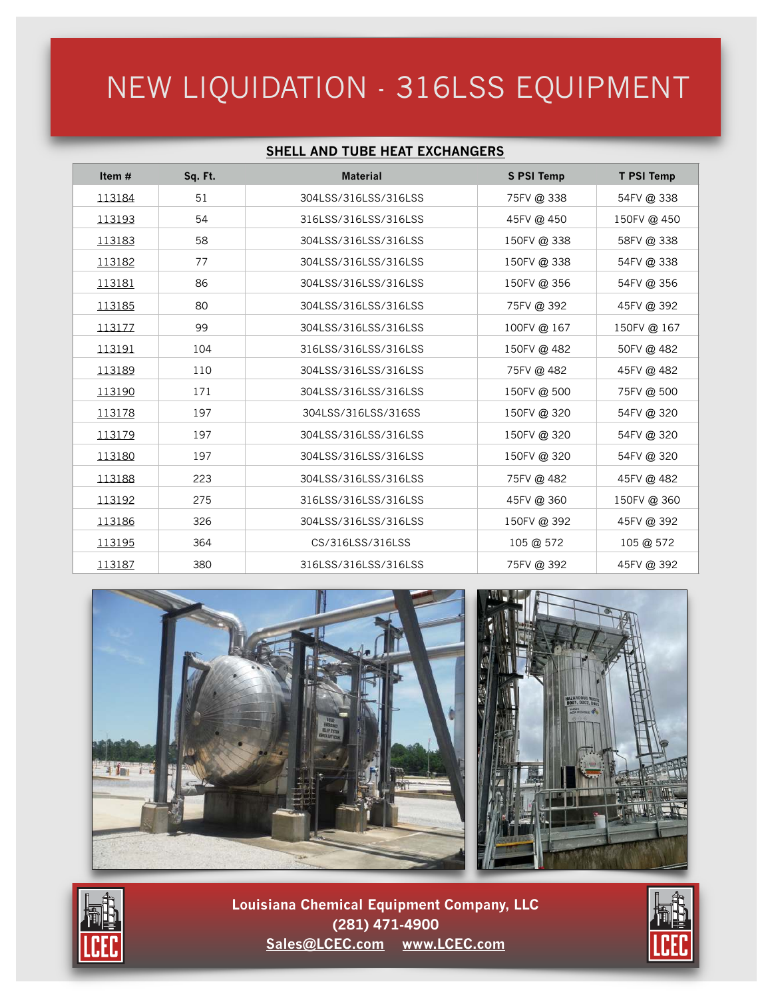## NEW LIQUIDATION - 316LSS EQUIPMENT

### **SHELL AND TUBE HEAT EXCHANGERS**

| Item $#$ | Sq. Ft. | <b>Material</b>      | <b>S PSI Temp</b> | <b>T PSI Temp</b> |
|----------|---------|----------------------|-------------------|-------------------|
| 113184   | 51      | 304LSS/316LSS/316LSS | 75FV @ 338        | 54FV@338          |
| 113193   | 54      | 316LSS/316LSS/316LSS | 45FV @ 450        | 150FV @ 450       |
| 113183   | 58      | 304LSS/316LSS/316LSS | 150FV @ 338       | 58FV @ 338        |
| 113182   | 77      | 304LSS/316LSS/316LSS | 150FV @ 338       | 54FV@338          |
| 113181   | 86      | 304LSS/316LSS/316LSS | 150FV @ 356       | 54FV @ 356        |
| 113185   | 80      | 304LSS/316LSS/316LSS | 75FV @ 392        | 45FV @ 392        |
| 113177   | 99      | 304LSS/316LSS/316LSS | 100FV@ 167        | 150FV@ 167        |
| 113191   | 104     | 316LSS/316LSS/316LSS | 150FV @ 482       | 50FV @ 482        |
| 113189   | 110     | 304LSS/316LSS/316LSS | 75FV @ 482        | 45FV @ 482        |
| 113190   | 171     | 304LSS/316LSS/316LSS | 150FV @ 500       | 75FV @ 500        |
| 113178   | 197     | 304LSS/316LSS/316SS  | 150FV @ 320       | 54FV@320          |
| 113179   | 197     | 304LSS/316LSS/316LSS | 150FV@320         | 54FV @ 320        |
| 113180   | 197     | 304LSS/316LSS/316LSS | 150FV @ 320       | 54FV@320          |
| 113188   | 223     | 304LSS/316LSS/316LSS | 75FV @ 482        | 45FV @ 482        |
| 113192   | 275     | 316LSS/316LSS/316LSS | 45FV @ 360        | 150FV@360         |
| 113186   | 326     | 304LSS/316LSS/316LSS | 150FV @ 392       | 45FV @ 392        |
| 113195   | 364     | CS/316LSS/316LSS     | 105 @ 572         | 105 @ 572         |
| 113187   | 380     | 316LSS/316LSS/316LSS | 75FV @ 392        | 45FV @ 392        |





 **(281) 471-4900 Louisiana Chemical Equipment Company, LLC [Sales@LCEC.com](mailto:sales@lcec.com?subject=) [www.LCEC.com](http://www.lcec.com)**